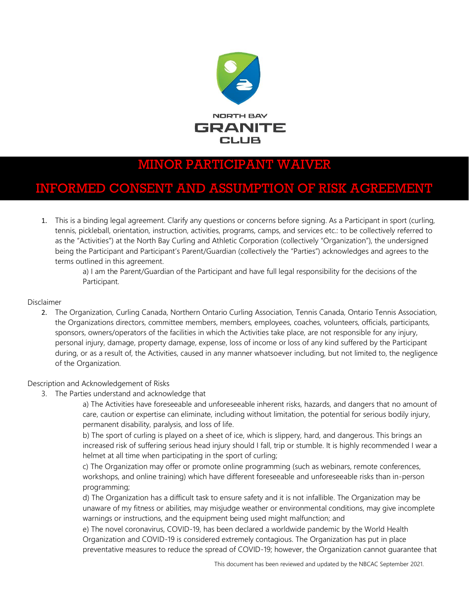

# MINOR PARTICIPANT WAIVER

## INFORMED CONSENT AND ASSUMPTION OF RISK AGREEMENT

1. This is a binding legal agreement. Clarify any questions or concerns before signing. As a Participant in sport (curling, tennis, pickleball, orientation, instruction, activities, programs, camps, and services etc.: to be collectively referred to as the "Activities") at the North Bay Curling and Athletic Corporation (collectively "Organization"), the undersigned being the Participant and Participant's Parent/Guardian (collectively the "Parties") acknowledges and agrees to the terms outlined in this agreement.

> a) I am the Parent/Guardian of the Participant and have full legal responsibility for the decisions of the Participant.

Disclaimer

2. The Organization, Curling Canada, Northern Ontario Curling Association, Tennis Canada, Ontario Tennis Association, the Organizations directors, committee members, members, employees, coaches, volunteers, officials, participants, sponsors, owners/operators of the facilities in which the Activities take place, are not responsible for any injury, personal injury, damage, property damage, expense, loss of income or loss of any kind suffered by the Participant during, or as a result of, the Activities, caused in any manner whatsoever including, but not limited to, the negligence of the Organization.

Description and Acknowledgement of Risks

3. The Parties understand and acknowledge that

a) The Activities have foreseeable and unforeseeable inherent risks, hazards, and dangers that no amount of care, caution or expertise can eliminate, including without limitation, the potential for serious bodily injury, permanent disability, paralysis, and loss of life.

b) The sport of curling is played on a sheet of ice, which is slippery, hard, and dangerous. This brings an increased risk of suffering serious head injury should I fall, trip or stumble. It is highly recommended I wear a helmet at all time when participating in the sport of curling;

c) The Organization may offer or promote online programming (such as webinars, remote conferences, workshops, and online training) which have different foreseeable and unforeseeable risks than in-person programming;

d) The Organization has a difficult task to ensure safety and it is not infallible. The Organization may be unaware of my fitness or abilities, may misjudge weather or environmental conditions, may give incomplete warnings or instructions, and the equipment being used might malfunction; and

e) The novel coronavirus, COVID-19, has been declared a worldwide pandemic by the World Health Organization and COVID-19 is considered extremely contagious. The Organization has put in place preventative measures to reduce the spread of COVID-19; however, the Organization cannot guarantee that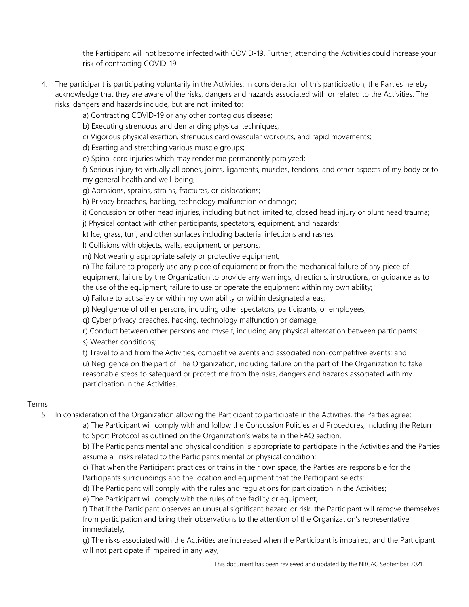the Participant will not become infected with COVID-19. Further, attending the Activities could increase your risk of contracting COVID-19.

4. The participant is participating voluntarily in the Activities. In consideration of this participation, the Parties hereby acknowledge that they are aware of the risks, dangers and hazards associated with or related to the Activities. The risks, dangers and hazards include, but are not limited to:

a) Contracting COVID-19 or any other contagious disease;

b) Executing strenuous and demanding physical techniques;

c) Vigorous physical exertion, strenuous cardiovascular workouts, and rapid movements;

d) Exerting and stretching various muscle groups;

e) Spinal cord injuries which may render me permanently paralyzed;

f) Serious injury to virtually all bones, joints, ligaments, muscles, tendons, and other aspects of my body or to my general health and well-being;

g) Abrasions, sprains, strains, fractures, or dislocations;

h) Privacy breaches, hacking, technology malfunction or damage;

i) Concussion or other head injuries, including but not limited to, closed head injury or blunt head trauma;

j) Physical contact with other participants, spectators, equipment, and hazards;

k) Ice, grass, turf, and other surfaces including bacterial infections and rashes;

l) Collisions with objects, walls, equipment, or persons;

m) Not wearing appropriate safety or protective equipment;

n) The failure to properly use any piece of equipment or from the mechanical failure of any piece of equipment; failure by the Organization to provide any warnings, directions, instructions, or guidance as to the use of the equipment; failure to use or operate the equipment within my own ability;

o) Failure to act safely or within my own ability or within designated areas;

p) Negligence of other persons, including other spectators, participants, or employees;

q) Cyber privacy breaches, hacking, technology malfunction or damage;

r) Conduct between other persons and myself, including any physical altercation between participants; s) Weather conditions;

t) Travel to and from the Activities, competitive events and associated non-competitive events; and

u) Negligence on the part of The Organization, including failure on the part of The Organization to take reasonable steps to safeguard or protect me from the risks, dangers and hazards associated with my participation in the Activities.

#### Terms

5. In consideration of the Organization allowing the Participant to participate in the Activities, the Parties agree:

a) The Participant will comply with and follow the Concussion Policies and Procedures, including the Return to Sport Protocol as outlined on the Organization's website in the FAQ section.

b) The Participants mental and physical condition is appropriate to participate in the Activities and the Parties assume all risks related to the Participants mental or physical condition;

c) That when the Participant practices or trains in their own space, the Parties are responsible for the Participants surroundings and the location and equipment that the Participant selects;

d) The Participant will comply with the rules and regulations for participation in the Activities;

e) The Participant will comply with the rules of the facility or equipment;

f) That if the Participant observes an unusual significant hazard or risk, the Participant will remove themselves from participation and bring their observations to the attention of the Organization's representative immediately;

g) The risks associated with the Activities are increased when the Participant is impaired, and the Participant will not participate if impaired in any way;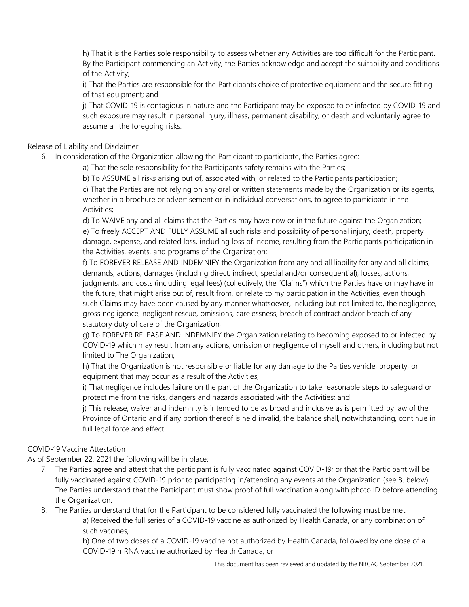h) That it is the Parties sole responsibility to assess whether any Activities are too difficult for the Participant. By the Participant commencing an Activity, the Parties acknowledge and accept the suitability and conditions of the Activity;

i) That the Parties are responsible for the Participants choice of protective equipment and the secure fitting of that equipment; and

j) That COVID-19 is contagious in nature and the Participant may be exposed to or infected by COVID-19 and such exposure may result in personal injury, illness, permanent disability, or death and voluntarily agree to assume all the foregoing risks.

Release of Liability and Disclaimer

6. In consideration of the Organization allowing the Participant to participate, the Parties agree:

a) That the sole responsibility for the Participants safety remains with the Parties;

b) To ASSUME all risks arising out of, associated with, or related to the Participants participation;

c) That the Parties are not relying on any oral or written statements made by the Organization or its agents, whether in a brochure or advertisement or in individual conversations, to agree to participate in the Activities;

d) To WAIVE any and all claims that the Parties may have now or in the future against the Organization; e) To freely ACCEPT AND FULLY ASSUME all such risks and possibility of personal injury, death, property damage, expense, and related loss, including loss of income, resulting from the Participants participation in the Activities, events, and programs of the Organization;

f) To FOREVER RELEASE AND INDEMNIFY the Organization from any and all liability for any and all claims, demands, actions, damages (including direct, indirect, special and/or consequential), losses, actions, judgments, and costs (including legal fees) (collectively, the "Claims") which the Parties have or may have in the future, that might arise out of, result from, or relate to my participation in the Activities, even though such Claims may have been caused by any manner whatsoever, including but not limited to, the negligence, gross negligence, negligent rescue, omissions, carelessness, breach of contract and/or breach of any statutory duty of care of the Organization;

g) To FOREVER RELEASE AND INDEMNIFY the Organization relating to becoming exposed to or infected by COVID-19 which may result from any actions, omission or negligence of myself and others, including but not limited to The Organization;

h) That the Organization is not responsible or liable for any damage to the Parties vehicle, property, or equipment that may occur as a result of the Activities;

i) That negligence includes failure on the part of the Organization to take reasonable steps to safeguard or protect me from the risks, dangers and hazards associated with the Activities; and

j) This release, waiver and indemnity is intended to be as broad and inclusive as is permitted by law of the Province of Ontario and if any portion thereof is held invalid, the balance shall, notwithstanding, continue in full legal force and effect.

#### COVID-19 Vaccine Attestation

As of September 22, 2021 the following will be in place:

- 7. The Parties agree and attest that the participant is fully vaccinated against COVID-19; or that the Participant will be fully vaccinated against COVID-19 prior to participating in/attending any events at the Organization (see 8. below) The Parties understand that the Participant must show proof of full vaccination along with photo ID before attending the Organization.
- 8. The Parties understand that for the Participant to be considered fully vaccinated the following must be met:

a) Received the full series of a COVID-19 vaccine as authorized by Health Canada, or any combination of such vaccines,

b) One of two doses of a COVID-19 vaccine not authorized by Health Canada, followed by one dose of a COVID-19 mRNA vaccine authorized by Health Canada, or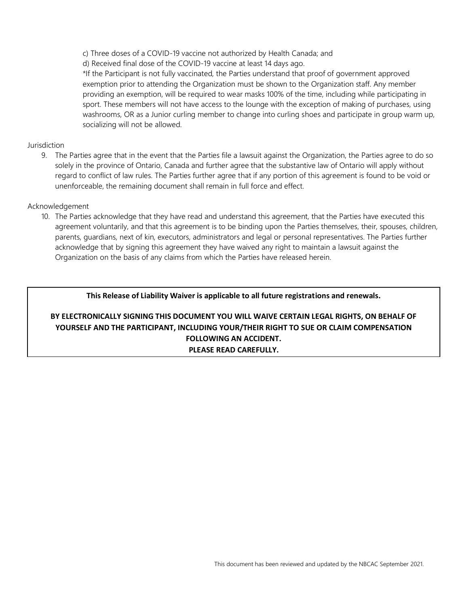- c) Three doses of a COVID-19 vaccine not authorized by Health Canada; and
- d) Received final dose of the COVID-19 vaccine at least 14 days ago.

\*If the Participant is not fully vaccinated, the Parties understand that proof of government approved exemption prior to attending the Organization must be shown to the Organization staff. Any member providing an exemption, will be required to wear masks 100% of the time, including while participating in sport. These members will not have access to the lounge with the exception of making of purchases, using washrooms, OR as a Junior curling member to change into curling shoes and participate in group warm up, socializing will not be allowed.

#### **Jurisdiction**

9. The Parties agree that in the event that the Parties file a lawsuit against the Organization, the Parties agree to do so solely in the province of Ontario, Canada and further agree that the substantive law of Ontario will apply without regard to conflict of law rules. The Parties further agree that if any portion of this agreement is found to be void or unenforceable, the remaining document shall remain in full force and effect.

#### Acknowledgement

10. The Parties acknowledge that they have read and understand this agreement, that the Parties have executed this agreement voluntarily, and that this agreement is to be binding upon the Parties themselves, their, spouses, children, parents, guardians, next of kin, executors, administrators and legal or personal representatives. The Parties further acknowledge that by signing this agreement they have waived any right to maintain a lawsuit against the Organization on the basis of any claims from which the Parties have released herein.

#### **This Release of Liability Waiver is applicable to all future registrations and renewals.**

### **BY ELECTRONICALLY SIGNING THIS DOCUMENT YOU WILL WAIVE CERTAIN LEGAL RIGHTS, ON BEHALF OF YOURSELF AND THE PARTICIPANT, INCLUDING YOUR/THEIR RIGHT TO SUE OR CLAIM COMPENSATION FOLLOWING AN ACCIDENT. PLEASE READ CAREFULLY.**